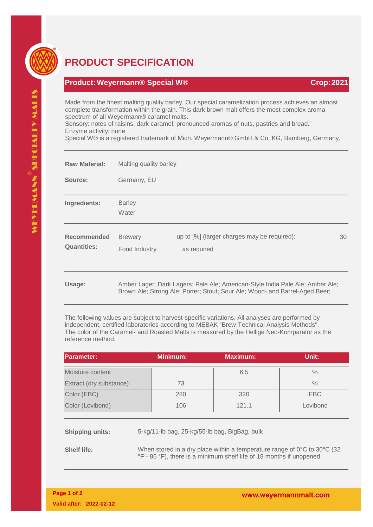

## **PRODUCT SPECIFICATION**

## **Product:Weyermann® Special W® Crop:2021**

Made from the finest malting quality barley. Our special caramelization process achieves an almost complete transformation within the grain. This dark brown malt offers the most complex aroma spectrum of all Weyermann® caramel malts.

Sensory: notes of raisins, dark caramel, pronounced aromas of nuts, pastries and bread. Enzyme activity: none

Special W® is a registered trademark of Mich. Weyermann® GmbH & Co. KG, Bamberg, Germany.

| <b>Raw Material:</b>              | Malting quality barley          |                                                                                                                                                              |    |  |
|-----------------------------------|---------------------------------|--------------------------------------------------------------------------------------------------------------------------------------------------------------|----|--|
| Source:                           | Germany, EU                     |                                                                                                                                                              |    |  |
| Ingredients:                      | <b>Barley</b><br>Water          |                                                                                                                                                              |    |  |
| Recommended<br><b>Quantities:</b> | <b>Brewery</b><br>Food Industry | up to [%] (larger charges may be required):<br>as required                                                                                                   | 30 |  |
| Usage:                            |                                 | Amber Lager; Dark Lagers; Pale Ale; American-Style India Pale Ale; Amber Ale;<br>Brown Ale; Strong Ale; Porter; Stout; Sour Ale; Wood- and Barrel-Aged Beer; |    |  |

The following values are subject to harvest-specific variations. All analyses are performed by independent, certified laboratories according to MEBAK "Brew-Technical Analysis Methods". The color of the Caramel- and Roasted Malts is measured by the Hellige Neo-Komparator as the reference method.

| <b>IParameter:</b>      | <b>Minimum:</b> | <b>Maximum:</b> | Unit:         |
|-------------------------|-----------------|-----------------|---------------|
| Moisture content        |                 | 6.5             | $\frac{0}{0}$ |
| Extract (dry substance) | 73              |                 | $\frac{0}{0}$ |
| Color (EBC)             | 280             | 320             | EBC           |
| Color (Lovibond)        | 106             | 121.1           | Lovibond      |

**Shipping units:** 5-kg/11-lb bag, 25-kg/55-lb bag, BigBag, bulk

**Shelf life:** When stored in a dry place within a temperature range of 0°C to 30°C (32) °F - 86 °F), there is a minimum shelf life of 18 months if unopened.